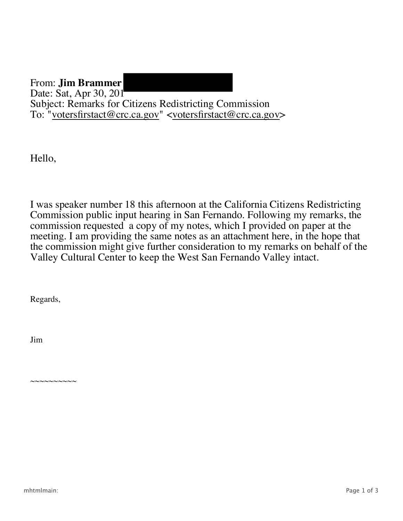From: **Jim Brammer** Date: Sat, Apr 30, 201 Subject: Remarks for Citizens Redistricting Commission To: "<u>votersfirstact@crc.ca.gov</u>" <<u>votersfirstact@crc.ca.gov</u>>

Hello,

I was speaker number 18 this afternoon at the California Citizens Redistricting Commission public input hearing in San Fernando. Following my remarks, the commission requested a copy of my notes, which I provided on paper at the meeting. I am providing the same notes as an attachment here, in the hope that the commission might give further consideration to my remarks on behalf of the Valley Cultural Center to keep the West San Fernando Valley intact.

Regards,

 $\sim$ ~ $\sim$  $\sim$  $\sim$  $\sim$  $\sim$  $\sim$  $\sim$ 

Jim

mhtmlmain: Page 1 of 3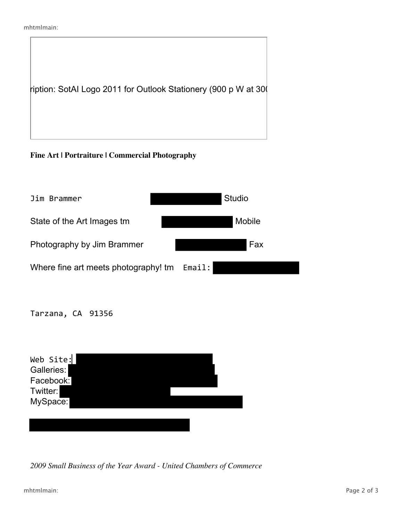```
mhtmlmain:
```


**Fine Art | Portraiture | Commercial Photography**



Tarzana, CA 91356

| Web Site:<br>Galleries:<br>Facebook:<br>Twitter:<br>MySpace: |  |  |
|--------------------------------------------------------------|--|--|
|                                                              |  |  |
|                                                              |  |  |

*2009 Small Business of the Year Award - United Chambers of Commerce*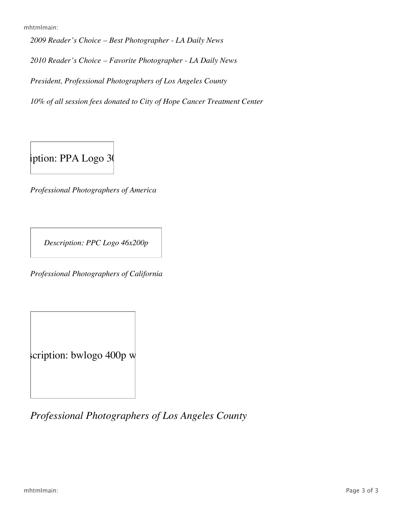mhtmlmain:

*2009 Reader's Choice – Best Photographer - LA Daily News*

*2010 Reader's Choice – Favorite Photographer - LA Daily News*

*President, Professional Photographers of Los Angeles County*

*10% of all session fees donated to City of Hope Cancer Treatment Center*

 $i$ ption: PPA Logo 30

*Professional Photographers of America*

*Description: PPC Logo 46x200p*

*Professional Photographers of California*

scription: bwlogo 400p w

*Professional Photographers of Los Angeles County*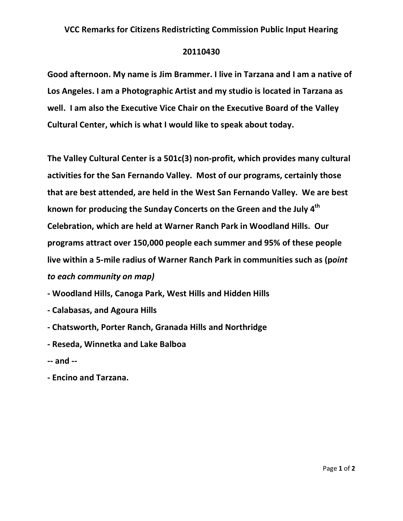## VCC Remarks for Citizens Redistricting Commission Public Input Hearing

## 20110430

Good afternoon. My name is Jim Brammer. I live in Tarzana and I am a native of Los Angeles. I am a Photographic Artist and my studio is located in Tarzana as well. I am also the Executive Vice Chair on the Executive Board of the Valley Cultural Center, which is what I would like to speak about today.

The Valley Cultural Center is a 501c(3) non-profit, which provides many cultural activities for the San Fernando Valley. Most of our programs, certainly those that are best attended, are held in the West San Fernando Valley. We are best known for producing the Sunday Concerts on the Green and the July 4<sup>th</sup> Celebration, which are held at Warner Ranch Park in Woodland Hills. Our programs attract over 150,000 people each summer and 95% of these people live within a 5-mile radius of Warner Ranch Park in communities such as (point to each community on map)

- Woodland Hills, Canoga Park, West Hills and Hidden Hills
- Calabasas, and Agoura Hills
- Chatsworth, Porter Ranch, Granada Hills and Northridge
- Reseda, Winnetka and Lake Balboa
- -- and --
- Encino and Tarzana.